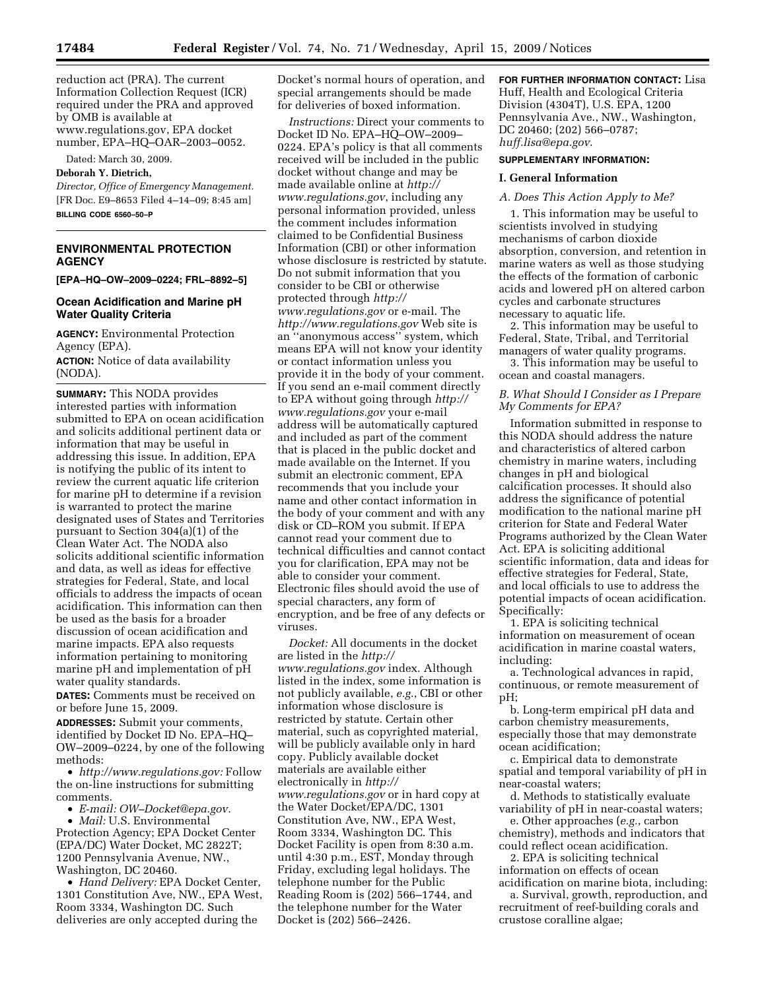reduction act (PRA). The current Information Collection Request (ICR) required under the PRA and approved by OMB is available at www.regulations.gov, EPA docket number, EPA–HQ–OAR–2003–0052.

Dated: March 30, 2009.

### **Deborah Y. Dietrich,**

*Director, Office of Emergency Management.*  [FR Doc. E9–8653 Filed 4–14–09; 8:45 am] **BILLING CODE 6560–50–P** 

# **ENVIRONMENTAL PROTECTION AGENCY**

**[EPA–HQ–OW–2009–0224; FRL–8892–5]** 

## **Ocean Acidification and Marine pH Water Quality Criteria**

**AGENCY:** Environmental Protection Agency (EPA).

**ACTION:** Notice of data availability (NODA).

**SUMMARY:** This NODA provides interested parties with information submitted to EPA on ocean acidification and solicits additional pertinent data or information that may be useful in addressing this issue. In addition, EPA is notifying the public of its intent to review the current aquatic life criterion for marine pH to determine if a revision is warranted to protect the marine designated uses of States and Territories pursuant to Section 304(a)(1) of the Clean Water Act. The NODA also solicits additional scientific information and data, as well as ideas for effective strategies for Federal, State, and local officials to address the impacts of ocean acidification. This information can then be used as the basis for a broader discussion of ocean acidification and marine impacts. EPA also requests information pertaining to monitoring marine pH and implementation of pH water quality standards.

**DATES:** Comments must be received on or before June 15, 2009.

**ADDRESSES:** Submit your comments, identified by Docket ID No. EPA–HQ– OW–2009–0224, by one of the following methods:

• *http://www.regulations.gov:* Follow the on-line instructions for submitting comments.

• *E-mail: OW–Docket@epa.gov.* 

• *Mail:* U.S. Environmental Protection Agency; EPA Docket Center (EPA/DC) Water Docket, MC 2822T; 1200 Pennsylvania Avenue, NW., Washington, DC 20460.

• *Hand Delivery:* EPA Docket Center, 1301 Constitution Ave, NW., EPA West, Room 3334, Washington DC. Such deliveries are only accepted during the

Docket's normal hours of operation, and special arrangements should be made for deliveries of boxed information.

*Instructions:* Direct your comments to Docket ID No. EPA–HQ–OW–2009– 0224. EPA's policy is that all comments received will be included in the public docket without change and may be made available online at *http:// www.regulations.gov*, including any personal information provided, unless the comment includes information claimed to be Confidential Business Information (CBI) or other information whose disclosure is restricted by statute. Do not submit information that you consider to be CBI or otherwise protected through *http:// www.regulations.gov* or e-mail. The *http://www.regulations.gov* Web site is an ''anonymous access'' system, which means EPA will not know your identity or contact information unless you provide it in the body of your comment. If you send an e-mail comment directly to EPA without going through *http:// www.regulations.gov* your e-mail address will be automatically captured and included as part of the comment that is placed in the public docket and made available on the Internet. If you submit an electronic comment, EPA recommends that you include your name and other contact information in the body of your comment and with any disk or CD–ROM you submit. If EPA cannot read your comment due to technical difficulties and cannot contact you for clarification, EPA may not be able to consider your comment. Electronic files should avoid the use of special characters, any form of encryption, and be free of any defects or viruses.

*Docket:* All documents in the docket are listed in the *http:// www.regulations.gov* index. Although listed in the index, some information is not publicly available, *e.g.*, CBI or other information whose disclosure is restricted by statute. Certain other material, such as copyrighted material, will be publicly available only in hard copy. Publicly available docket materials are available either electronically in *http:// www.regulations.gov* or in hard copy at the Water Docket/EPA/DC, 1301 Constitution Ave, NW., EPA West, Room 3334, Washington DC. This Docket Facility is open from 8:30 a.m. until 4:30 p.m., EST, Monday through Friday, excluding legal holidays. The telephone number for the Public Reading Room is (202) 566–1744, and the telephone number for the Water Docket is (202) 566–2426.

**FOR FURTHER INFORMATION CONTACT:** Lisa Huff, Health and Ecological Criteria Division (4304T), U.S. EPA, 1200 Pennsylvania Ave., NW., Washington, DC 20460; (202) 566–0787; *huff.lisa@epa.gov*.

### **SUPPLEMENTARY INFORMATION:**

#### **I. General Information**

#### *A. Does This Action Apply to Me?*

1. This information may be useful to scientists involved in studying mechanisms of carbon dioxide absorption, conversion, and retention in marine waters as well as those studying the effects of the formation of carbonic acids and lowered pH on altered carbon cycles and carbonate structures necessary to aquatic life.

2. This information may be useful to Federal, State, Tribal, and Territorial managers of water quality programs.

3. This information may be useful to ocean and coastal managers.

#### *B. What Should I Consider as I Prepare My Comments for EPA?*

Information submitted in response to this NODA should address the nature and characteristics of altered carbon chemistry in marine waters, including changes in pH and biological calcification processes. It should also address the significance of potential modification to the national marine pH criterion for State and Federal Water Programs authorized by the Clean Water Act. EPA is soliciting additional scientific information, data and ideas for effective strategies for Federal, State, and local officials to use to address the potential impacts of ocean acidification. Specifically:

1. EPA is soliciting technical information on measurement of ocean acidification in marine coastal waters, including:

a. Technological advances in rapid, continuous, or remote measurement of pH;

b. Long-term empirical pH data and carbon chemistry measurements, especially those that may demonstrate ocean acidification;

c. Empirical data to demonstrate spatial and temporal variability of pH in near-coastal waters;

d. Methods to statistically evaluate variability of pH in near-coastal waters;

e. Other approaches (*e.g.*, carbon chemistry), methods and indicators that could reflect ocean acidification.

2. EPA is soliciting technical information on effects of ocean acidification on marine biota, including:

a. Survival, growth, reproduction, and recruitment of reef-building corals and crustose coralline algae;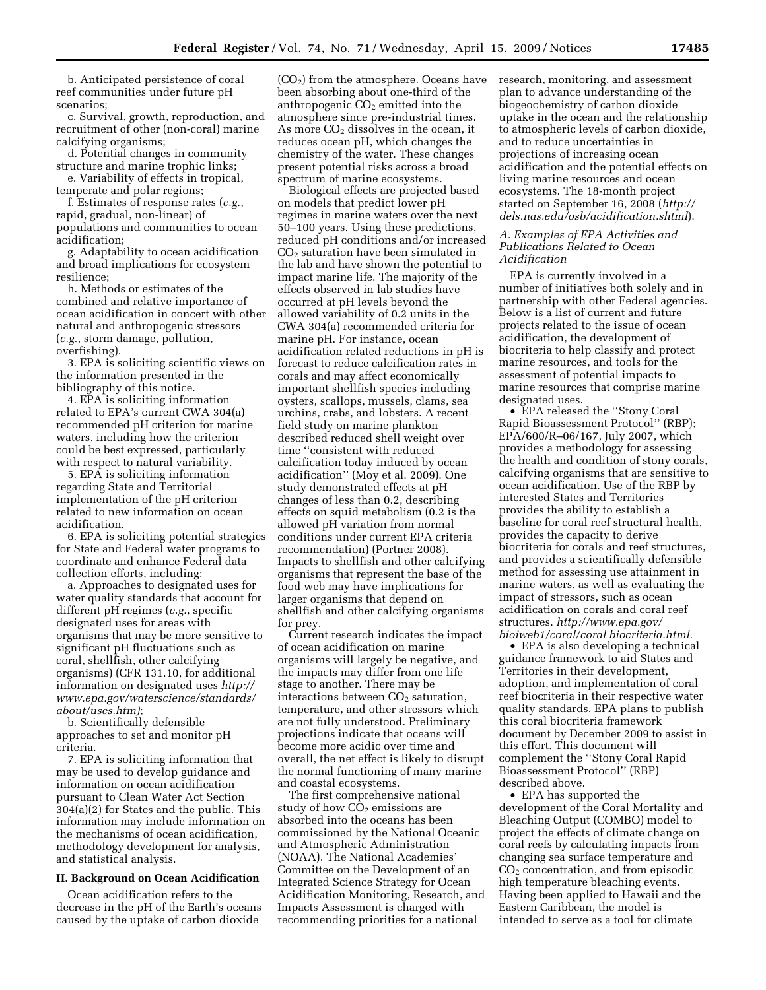b. Anticipated persistence of coral reef communities under future pH scenarios;

c. Survival, growth, reproduction, and recruitment of other (non-coral) marine calcifying organisms;

d. Potential changes in community structure and marine trophic links;

e. Variability of effects in tropical, temperate and polar regions;

f. Estimates of response rates (*e.g.*, rapid, gradual, non-linear) of populations and communities to ocean acidification;

g. Adaptability to ocean acidification and broad implications for ecosystem resilience;

h. Methods or estimates of the combined and relative importance of ocean acidification in concert with other natural and anthropogenic stressors (*e.g.*, storm damage, pollution, overfishing).

3. EPA is soliciting scientific views on the information presented in the bibliography of this notice.

4. EPA is soliciting information related to EPA's current CWA 304(a) recommended pH criterion for marine waters, including how the criterion could be best expressed, particularly with respect to natural variability.

5. EPA is soliciting information regarding State and Territorial implementation of the pH criterion related to new information on ocean acidification.

6. EPA is soliciting potential strategies for State and Federal water programs to coordinate and enhance Federal data collection efforts, including:

a. Approaches to designated uses for water quality standards that account for different pH regimes (*e.g.*, specific designated uses for areas with organisms that may be more sensitive to significant pH fluctuations such as coral, shellfish, other calcifying organisms) (CFR 131.10, for additional information on designated uses *http:// www.epa.gov/waterscience/standards/ about/uses.htm)*;

b. Scientifically defensible approaches to set and monitor pH criteria.

7. EPA is soliciting information that may be used to develop guidance and information on ocean acidification pursuant to Clean Water Act Section 304(a)(2) for States and the public. This information may include information on the mechanisms of ocean acidification, methodology development for analysis, and statistical analysis.

# **II. Background on Ocean Acidification**

Ocean acidification refers to the decrease in the pH of the Earth's oceans caused by the uptake of carbon dioxide

(CO2) from the atmosphere. Oceans have been absorbing about one-third of the anthropogenic  $CO<sub>2</sub>$  emitted into the atmosphere since pre-industrial times. As more  $CO<sub>2</sub>$  dissolves in the ocean, it reduces ocean pH, which changes the chemistry of the water. These changes present potential risks across a broad spectrum of marine ecosystems.

Biological effects are projected based on models that predict lower pH regimes in marine waters over the next 50–100 years. Using these predictions, reduced pH conditions and/or increased CO2 saturation have been simulated in the lab and have shown the potential to impact marine life. The majority of the effects observed in lab studies have occurred at pH levels beyond the allowed variability of 0.2 units in the CWA 304(a) recommended criteria for marine pH. For instance, ocean acidification related reductions in pH is forecast to reduce calcification rates in corals and may affect economically important shellfish species including oysters, scallops, mussels, clams, sea urchins, crabs, and lobsters. A recent field study on marine plankton described reduced shell weight over time ''consistent with reduced calcification today induced by ocean acidification'' (Moy et al. 2009). One study demonstrated effects at pH changes of less than 0.2, describing effects on squid metabolism (0.2 is the allowed pH variation from normal conditions under current EPA criteria recommendation) (Portner 2008). Impacts to shellfish and other calcifying organisms that represent the base of the food web may have implications for larger organisms that depend on shellfish and other calcifying organisms for prey.

Current research indicates the impact of ocean acidification on marine organisms will largely be negative, and the impacts may differ from one life stage to another. There may be interactions between  $CO<sub>2</sub>$  saturation, temperature, and other stressors which are not fully understood. Preliminary projections indicate that oceans will become more acidic over time and overall, the net effect is likely to disrupt the normal functioning of many marine and coastal ecosystems.

The first comprehensive national study of how  $CO<sub>2</sub>$  emissions are absorbed into the oceans has been commissioned by the National Oceanic and Atmospheric Administration (NOAA). The National Academies' Committee on the Development of an Integrated Science Strategy for Ocean Acidification Monitoring, Research, and Impacts Assessment is charged with recommending priorities for a national

research, monitoring, and assessment plan to advance understanding of the biogeochemistry of carbon dioxide uptake in the ocean and the relationship to atmospheric levels of carbon dioxide, and to reduce uncertainties in projections of increasing ocean acidification and the potential effects on living marine resources and ocean ecosystems. The 18-month project started on September 16, 2008 (*http:// dels.nas.edu/osb/acidification.shtml*).

### *A. Examples of EPA Activities and Publications Related to Ocean Acidification*

EPA is currently involved in a number of initiatives both solely and in partnership with other Federal agencies. Below is a list of current and future projects related to the issue of ocean acidification, the development of biocriteria to help classify and protect marine resources, and tools for the assessment of potential impacts to marine resources that comprise marine designated uses.

• EPA released the ''Stony Coral Rapid Bioassessment Protocol'' (RBP); EPA/600/R–06/167, July 2007, which provides a methodology for assessing the health and condition of stony corals, calcifying organisms that are sensitive to ocean acidification. Use of the RBP by interested States and Territories provides the ability to establish a baseline for coral reef structural health, provides the capacity to derive biocriteria for corals and reef structures, and provides a scientifically defensible method for assessing use attainment in marine waters, as well as evaluating the impact of stressors, such as ocean acidification on corals and coral reef structures. *http://www.epa.gov/ bioiweb1/coral/coral biocriteria.html*.

• EPA is also developing a technical guidance framework to aid States and Territories in their development, adoption, and implementation of coral reef biocriteria in their respective water quality standards. EPA plans to publish this coral biocriteria framework document by December 2009 to assist in this effort. This document will complement the ''Stony Coral Rapid Bioassessment Protocol'' (RBP) described above.

• EPA has supported the development of the Coral Mortality and Bleaching Output (COMBO) model to project the effects of climate change on coral reefs by calculating impacts from changing sea surface temperature and  $CO<sub>2</sub>$  concentration, and from episodic high temperature bleaching events. Having been applied to Hawaii and the Eastern Caribbean, the model is intended to serve as a tool for climate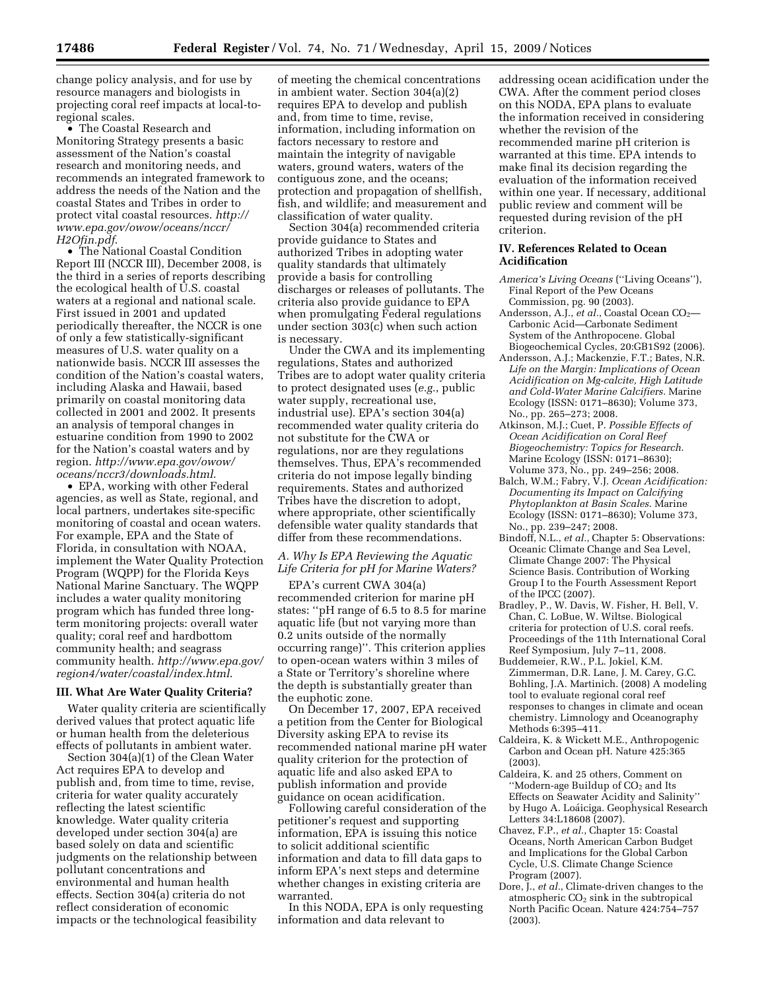change policy analysis, and for use by resource managers and biologists in projecting coral reef impacts at local-toregional scales.

• The Coastal Research and Monitoring Strategy presents a basic assessment of the Nation's coastal research and monitoring needs, and recommends an integrated framework to address the needs of the Nation and the coastal States and Tribes in order to protect vital coastal resources. *http:// www.epa.gov/owow/oceans/nccr/ H2Ofin.pdf*.

• The National Coastal Condition Report III (NCCR III), December 2008, is the third in a series of reports describing the ecological health of U.S. coastal waters at a regional and national scale. First issued in 2001 and updated periodically thereafter, the NCCR is one of only a few statistically-significant measures of U.S. water quality on a nationwide basis. NCCR III assesses the condition of the Nation's coastal waters, including Alaska and Hawaii, based primarily on coastal monitoring data collected in 2001 and 2002. It presents an analysis of temporal changes in estuarine condition from 1990 to 2002 for the Nation's coastal waters and by region. *http://www.epa.gov/owow/ oceans/nccr3/downloads.html*.

• EPA, working with other Federal agencies, as well as State, regional, and local partners, undertakes site-specific monitoring of coastal and ocean waters. For example, EPA and the State of Florida, in consultation with NOAA, implement the Water Quality Protection Program (WQPP) for the Florida Keys National Marine Sanctuary. The WQPP includes a water quality monitoring program which has funded three longterm monitoring projects: overall water quality; coral reef and hardbottom community health; and seagrass community health. *http://www.epa.gov/ region4/water/coastal/index.html*.

### **III. What Are Water Quality Criteria?**

Water quality criteria are scientifically derived values that protect aquatic life or human health from the deleterious effects of pollutants in ambient water.

Section 304(a)(1) of the Clean Water Act requires EPA to develop and publish and, from time to time, revise, criteria for water quality accurately reflecting the latest scientific knowledge. Water quality criteria developed under section 304(a) are based solely on data and scientific judgments on the relationship between pollutant concentrations and environmental and human health effects. Section 304(a) criteria do not reflect consideration of economic impacts or the technological feasibility

of meeting the chemical concentrations in ambient water. Section 304(a)(2) requires EPA to develop and publish and, from time to time, revise, information, including information on factors necessary to restore and maintain the integrity of navigable waters, ground waters, waters of the contiguous zone, and the oceans; protection and propagation of shellfish, fish, and wildlife; and measurement and classification of water quality.

Section 304(a) recommended criteria provide guidance to States and authorized Tribes in adopting water quality standards that ultimately provide a basis for controlling discharges or releases of pollutants. The criteria also provide guidance to EPA when promulgating Federal regulations under section 303(c) when such action is necessary.

Under the CWA and its implementing regulations, States and authorized Tribes are to adopt water quality criteria to protect designated uses (*e.g.*, public water supply, recreational use, industrial use). EPA's section 304(a) recommended water quality criteria do not substitute for the CWA or regulations, nor are they regulations themselves. Thus, EPA's recommended criteria do not impose legally binding requirements. States and authorized Tribes have the discretion to adopt, where appropriate, other scientifically defensible water quality standards that differ from these recommendations.

# *A. Why Is EPA Reviewing the Aquatic Life Criteria for pH for Marine Waters?*

EPA's current CWA 304(a) recommended criterion for marine pH states: ''pH range of 6.5 to 8.5 for marine aquatic life (but not varying more than 0.2 units outside of the normally occurring range)''. This criterion applies to open-ocean waters within 3 miles of a State or Territory's shoreline where the depth is substantially greater than the euphotic zone.

On December 17, 2007, EPA received a petition from the Center for Biological Diversity asking EPA to revise its recommended national marine pH water quality criterion for the protection of aquatic life and also asked EPA to publish information and provide guidance on ocean acidification.

Following careful consideration of the petitioner's request and supporting information, EPA is issuing this notice to solicit additional scientific information and data to fill data gaps to inform EPA's next steps and determine whether changes in existing criteria are warranted.

In this NODA, EPA is only requesting information and data relevant to

addressing ocean acidification under the CWA. After the comment period closes on this NODA, EPA plans to evaluate the information received in considering whether the revision of the recommended marine pH criterion is warranted at this time. EPA intends to make final its decision regarding the evaluation of the information received within one year. If necessary, additional public review and comment will be requested during revision of the pH criterion.

# **IV. References Related to Ocean Acidification**

- *America's Living Oceans* (''Living Oceans''), Final Report of the Pew Oceans Commission, pg. 90 (2003).
- Andersson, A.J., *et al.*, Coastal Ocean CO<sub>2</sub>— Carbonic Acid—Carbonate Sediment System of the Anthropocene. Global Biogeochemical Cycles, 20:GB1S92 (2006).
- Andersson, A.J.; Mackenzie, F.T.; Bates, N.R. *Life on the Margin: Implications of Ocean Acidification on Mg-calcite, High Latitude and Cold-Water Marine Calcifiers.* Marine Ecology (ISSN: 0171–8630); Volume 373, No., pp. 265–273; 2008.
- Atkinson, M.J.; Cuet, P. *Possible Effects of Ocean Acidification on Coral Reef Biogeochemistry: Topics for Research*. Marine Ecology (ISSN: 0171-8630); Volume 373, No., pp. 249–256; 2008.
- Balch, W.M.; Fabry, V.J. *Ocean Acidification: Documenting its Impact on Calcifying Phytoplankton at Basin Scales*. Marine Ecology (ISSN: 0171–8630); Volume 373, No., pp. 239–247; 2008.
- Bindoff, N.L., *et al.*, Chapter 5: Observations: Oceanic Climate Change and Sea Level, Climate Change 2007: The Physical Science Basis. Contribution of Working Group I to the Fourth Assessment Report of the IPCC (2007).
- Bradley, P., W. Davis, W. Fisher, H. Bell, V. Chan, C. LoBue, W. Wiltse. Biological criteria for protection of U.S. coral reefs. Proceedings of the 11th International Coral Reef Symposium, July 7–11, 2008.
- Buddemeier, R.W., P.L. Jokiel, K.M. Zimmerman, D.R. Lane, J. M. Carey, G.C. Bohling, J.A. Martinich. (2008) A modeling tool to evaluate regional coral reef responses to changes in climate and ocean chemistry. Limnology and Oceanography Methods 6:395–411.
- Caldeira, K. & Wickett M.E., Anthropogenic Carbon and Ocean pH. Nature 425:365 (2003).
- Caldeira, K. and 25 others, Comment on "Modern-age Buildup of CO<sub>2</sub> and Its Effects on Seawater Acidity and Salinity'' by Hugo A. Loáiciga. Geophysical Research Letters 34:L18608 (2007).
- Chavez, F.P., *et al.*, Chapter 15: Coastal Oceans, North American Carbon Budget and Implications for the Global Carbon Cycle, U.S. Climate Change Science Program (2007).
- Dore, J., *et al.*, Climate-driven changes to the atmospheric  $CO<sub>2</sub>$  sink in the subtropical North Pacific Ocean. Nature 424:754–757 (2003).